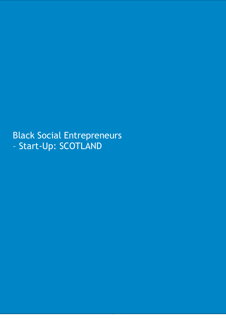Black Social Entrepreneurs – Start-Up: SCOTLAND

1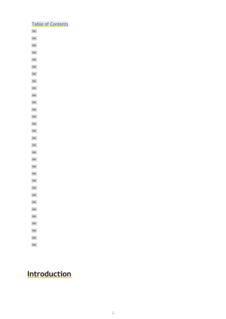## Table of Contents  $O\bar{B}$  $OBD$  $OBD$  $\overline{\text{OB}}$  $OBJ$  $\overline{OBJ}$  $\overline{\text{OB}}$  $\overline{\text{OB}}$  $OBJ$

- $OBJ$
- $\overline{OB}$  $OBJ$
- $\overline{\text{OB}}$
- $\overline{\text{OB}}$
- $OBJ$
- $\overline{\text{OBJ}}$  $\overline{\text{OBJ}}$
- $\overline{\text{OB}}$
- $\overline{\text{OBI}}$
- $\overline{\text{OBJ}}$
- $\overline{\text{OB}}$
- $\overline{\text{OBJ}}$
- $\overline{OB}$
- $[OB]$  $\overline{OBJ}$
- OBJ
- $OBD$
- $\overline{\text{OBJ}}$
- $\overline{\text{OB}}$
- $OBJ$
- $\overline{\text{OB}}$

# **Introduction**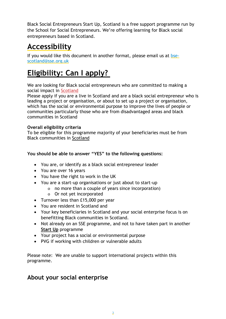Black Social Entrepreneurs Start Up, Scotland is a free support programme run by the School for Social Entrepreneurs. We're offering learning for Black social entrepreneurs based in Scotland.

## **Accessibility**

If you would like this document in another format, please email us at [bse](mailto:bse-scotland@sse.org.uk)[scotland@sse.org.uk](mailto:bse-scotland@sse.org.uk)

# **Eligibility: Can I apply?**

We are looking for Black social entrepreneurs who are committed to making a social impact in Scotland

Please apply if you are a live in Scotland and are a black social entrepreneur who is leading a project or organisation, or about to set up a project or organisation, which has the social or environmental purpose to improve the lives of people or communities particularly those who are from disadvantaged areas and black communities in Scotland

### **Overall eligibility criteria**

To be eligible for this programme majority of your beneficiaries must be from Black communities in Scotland

### **You should be able to answer "YES" to the following questions:**

- You are, or identify as a black social entrepreneur leader
- You are over 16 years
- You have the right to work in the UK
- You are a start-up organisations or just about to start-up
	- o no more than a couple of years since incorporation)
	- o Or not yet incorporated
- Turnover less than £15,000 per year
- You are resident in Scotland and
- Your key beneficiaries in Scotland and your social enterprise focus is on benefitting Black communities in Scotland.
- Not already on an SSE programme, and not to have taken part in another **Start Up** programme
- Your project has a social or environmental purpose
- PVG if working with children or vulnerable adults

Please note: We are unable to support international projects within this programme.

### **About your social enterprise**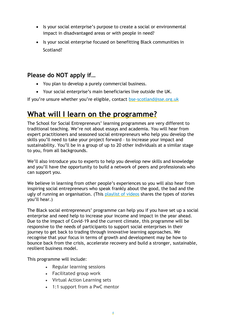- Is your social enterprise's purpose to create a social or environmental impact in disadvantaged areas or with people in need?
- Is your social enterprise focused on benefitting Black communities in Scotland?

## **Please do NOT apply if…**

- You plan to develop a purely commercial business.
- Your social enterprise's main beneficiaries live outside the UK.

If you're unsure whether you're eligible, contact [bse-scotland@sse.org.uk](mailto:bse-scotland@sse.org.uk)

## **What will I learn on the programme?**

The School for Social Entrepreneurs' learning programmes are very different to traditional teaching. We're not about essays and academia. You will hear from expert practitioners and seasoned social entrepreneurs who help you develop the skills you'll need to take your project forward – to increase your impact and sustainability. You'll be in a group of up to 20 other individuals at a similar stage to you, from all backgrounds.

We'll also introduce you to experts to help you develop new skills and knowledge and you'll have the opportunity to build a network of peers and professionals who can support you.

We believe in learning from other people's experiences so you will also hear from inspiring social entrepreneurs who speak frankly about the good, the bad and the ugly of running an organisation. (This [playlist of videos](https://www.youtube.com/playlist?list=PLVhUhz-Qiypq2OOu4ugwiNktdyNBKOuc4) shares the types of stories you'll hear.)

The Black social entrepreneurs' programme can help you if you have set up a social enterprise and need help to increase your income and impact in the year ahead. Due to the impact of Covid-19 and the current climate, this programme will be responsive to the needs of participants to support social enterprises in their journey to get back to trading through innovative learning approaches. We recognise that your focus in terms of growth and development may be how to bounce back from the crisis, accelerate recovery and build a stronger, sustainable, resilient business model.

This programme will include:

- Regular learning sessions
- Facilitated group work
- Virtual Action Learning sets
- 1:1 support from a PwC mentor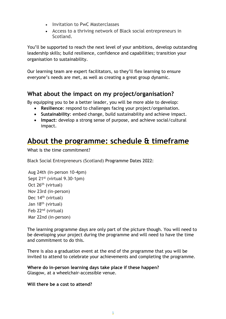- Invitation to PwC Masterclasses
- Access to a thriving network of Black social entrepreneurs in Scotland.

You'll be supported to reach the next level of your ambitions, develop outstanding leadership skills; build resilience, confidence and capabilities; transition your organisation to sustainability.

Our learning team are expert facilitators, so they'll flex learning to ensure everyone's needs are met, as well as creating a great group dynamic.

### **What about the impact on my project/organisation?**

By equipping you to be a better leader, you will be more able to develop:

- **Resilience**: respond to challenges facing your project/organisation.
- **Sustainability**: embed change, build sustainability and achieve impact.
- **Impact**: develop a strong sense of purpose, and achieve social/cultural impact.

## **About the programme: schedule & timeframe**

What is the time commitment?

Black Social Entrepreneurs (Scotland) Programme Dates 2022:

```
Aug 24th (in-person 10-4pm)
Sept 21<sup>st</sup> (virtual 9.30-1pm)
Oct 26<sup>th</sup> (virtual)
Nov 23rd (in-person)
Dec 14<sup>th</sup> (virtual)
Jan 18th (virtual)
Feb 22nd (virtual)
Mar 22nd (in-person)
```
The learning programme days are only part of the picture though. You will need to be developing your project during the programme and will need to have the time and commitment to do this.

There is also a graduation event at the end of the programme that you will be invited to attend to celebrate your achievements and completing the programme.

**Where do in-person learning days take place if these happen?** Glasgow, at a wheelchair-accessible venue.

#### **Will there be a cost to attend?**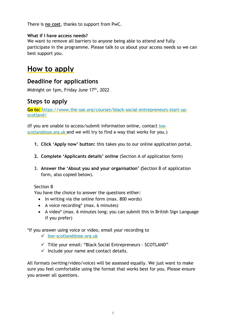There is **no cost**, thanks to support from PwC.

### **What if I have access needs?**

We want to remove all barriers to anyone being able to attend and fully participate in the programme. Please talk to us about your access needs so we can best support you.

## **How to apply**

### **Deadline for applications**

Midnight on 1pm, Friday June 17th , 2022

## **Steps to apply**

**Go to:** [https://www.the-sse.org/courses/black-social-entrepreneurs-start-up](https://eur01.safelinks.protection.outlook.com/?url=https%3A%2F%2Fwww.the-sse.org%2Fcourses%2Fblack-social-entrepreneurs-start-up-scotland%2F&data=05%7C01%7Crachel.robson%40sse.org.uk%7Ca3aa584b46eb4855cf0308da32869ff9%7C884bc484b332489a97a7d22097f26538%7C0%7C0%7C637877851042772910%7CUnknown%7CTWFpbGZsb3d8eyJWIjoiMC4wLjAwMDAiLCJQIjoiV2luMzIiLCJBTiI6Ik1haWwiLCJXVCI6Mn0%3D%7C3000%7C%7C%7C&sdata=m0DKUKKEhKutwf4to7ewAYhpuMcQRGXLi8tba5IOrFM%3D&reserved=0)[scotland/](https://eur01.safelinks.protection.outlook.com/?url=https%3A%2F%2Fwww.the-sse.org%2Fcourses%2Fblack-social-entrepreneurs-start-up-scotland%2F&data=05%7C01%7Crachel.robson%40sse.org.uk%7Ca3aa584b46eb4855cf0308da32869ff9%7C884bc484b332489a97a7d22097f26538%7C0%7C0%7C637877851042772910%7CUnknown%7CTWFpbGZsb3d8eyJWIjoiMC4wLjAwMDAiLCJQIjoiV2luMzIiLCJBTiI6Ik1haWwiLCJXVCI6Mn0%3D%7C3000%7C%7C%7C&sdata=m0DKUKKEhKutwf4to7ewAYhpuMcQRGXLi8tba5IOrFM%3D&reserved=0)

(If you are unable to access/submit information online, contact [bse](mailto:bse-scotland@sse.org.uk)[scotland@sse.org.uk](mailto:bse-scotland@sse.org.uk) and we will try to find a way that works for you.)

- **1. Click 'Apply now' button:** this takes you to our online application portal.
- **2. Complete 'Applicants details' online** (Section A of application form)
- 3. **Answer the 'About you and your organisation' (**Section B of application form, also copied below).

### Section B

You have the choice to answer the questions either:

- In writing via the online form (max. 800 words)
- A voice recording\* (max. 6 minutes)
- A video\* (max. 6 minutes long; you can submit this in British Sign Language if you prefer)

\*If you answer using voice or video, email your recording to

- ✓ [bse-scotland@sse.org.uk](mailto:bse-scotland@sse.org.uk)
- $\checkmark$  Title your email: "Black Social Entrepreneurs SCOTLAND"
- $\checkmark$  Include your name and contact details.

All formats (writing/video/voice) will be assessed equally. We just want to make sure you feel comfortable using the format that works best for you. Please ensure you answer all questions.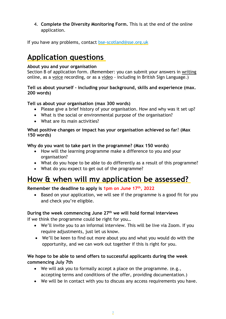4. **Complete the Diversity Monitoring Form.** This is at the end of the online application.

If you have any problems, contact [bse-scotland@sse.org.uk](mailto:bse-scotland@sse.org.uk)

## **Application questions**

#### **About you and your organisation**

Section B of application form. (Remember: you can submit your answers in writing online, as a voice recording, or as a video - including in British Sign Language.)

#### **Tell us about yourself - including your background, skills and experience (max. 200 words)**

### **Tell us about your organisation (max 300 words)**

- Please give a brief history of your organisation. How and why was it set up?
- What is the social or environmental purpose of the organisation?
- What are its main activities?

#### **What positive changes or impact has your organisation achieved so far**? **(Max 150 words)**

### **Why do you want to take part in the programme? (Max 150 words)**

- How will the learning programme make a difference to you and your organisation?
- What do you hope to be able to do differently as a result of this programme?
- What do you expect to get out of the programme?

## **How & when will my application be assessed?**

### **Remember the deadline to apply is 1pm on June 17th , 2022**

• Based on your application, we will see if the programme is a good fit for you and check you're eligible.

#### **During the week commencing June 27th we will hold formal interviews**

If we think the programme could be right for you…

- We'll invite you to an informal interview. This will be live via Zoom. If you require adjustments, just let us know.
- We'll be keen to find out more about you and what you would do with the opportunity, and we can work out together if this is right for you.

### **We hope to be able to send offers to successful applicants during the week commencing July 7th**

- We will ask you to formally accept a place on the programme. (e.g., accepting terms and conditions of the offer, providing documentation.)
- We will be in contact with you to discuss any access requirements you have.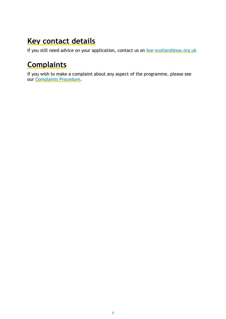## **Key contact details**

If you still need advice on your application, contact us on [bse-scotland@sse.org.uk](mailto:bse-scotland@sse.org.uk)

# **Complaints**

If you wish to make a complaint about any aspect of the programme, please see our [Complaints Procedure.](https://www.the-sse.org/complaints)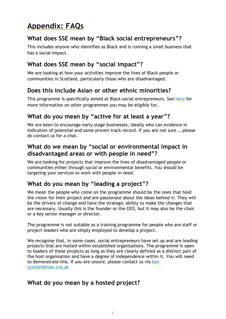# **Appendix: FAQs**

## **What does SSE mean by "Black social entrepreneurs"?**

This includes anyone who identifies as Black and is running a small business that has a social impact.

## **What does SSE mean by "social impact"?**

We are looking at how your activities *improve* the lives of Black people or communities in Scotland, particularly those who are disadvantaged.

## **Does this include Asian or other ethnic minorities?**

This programme is specifically aimed at Black social entrepreneurs. See [here](https://www.the-sse.org/our-courses/) for more information on other programmes you may be eligible for.

## **What do you mean by "active for at least a year"?**

We are keen to encourage early-stage businesses, ideally who can evidence in indication of potential and some proven track record. If you are not sure … please do contact us for a chat.

## **What do we mean by "social or environmental impact in disadvantaged areas or with people in need"?**

We are looking for projects that improve the lives of disadvantaged people or communities either through social or environmental benefits. You should be targeting your services to work with people in need.

## **What do you mean by "leading a project"?**

We mean the people who come on the programme should be the ones that hold the vision for their project and are passionate about the ideas behind it. They will be the drivers of change and have the strategic ability to make the changes that are necessary. Usually this is the founder or the CEO, but it may also be the chair or a key senior manager or director.

The programme is not suitable as a training programme for people who are staff or project leaders who are simply employed to develop a project.

We recognise that, in some cases, social entrepreneurs have set up and are leading projects that are hosted within established organisations. The programme is open to leaders of these projects as long as they are clearly defined as a distinct part of the host organisation and have a degree of independence within it. You will need to demonstrate this. If you are unsure, please contact us via [bse](mailto:bse-scotland@sse.org.uk)[scotland@sse.org.uk](mailto:bse-scotland@sse.org.uk)

## **What do you mean by a hosted project?**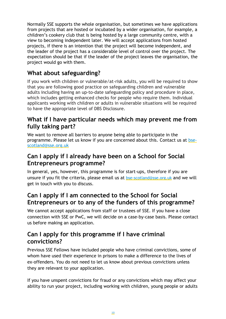Normally SSE supports the whole organisation, but sometimes we have applications from projects that are hosted or incubated by a wider organisation, for example, a children's cookery club that is being hosted by a large community centre, with a view to becoming independent later. We will accept applications from hosted projects, if there is an intention that the project will become independent, and the leader of the project has a considerable level of control over the project. The expectation should be that if the leader of the project leaves the organisation, the project would go with them.

## **What about safeguarding?**

If you work with children or vulnerable/at-risk adults, you will be required to show that you are following good practice on safeguarding children and vulnerable adults including having an up-to-date safeguarding policy and procedure in place, which includes getting enhanced checks for people who require them. Individual applicants working with children or adults in vulnerable situations will be required to have the appropriate level of DBS Disclosure.

### **What if I have particular needs which may prevent me from fully taking part?**

We want to remove all barriers to anyone being able to participate in the programme. Please let us know if you are concerned about this. Contact us at [bse](mailto:bse-scotland@sse.org.uk)[scotland@sse.org.uk](mailto:bse-scotland@sse.org.uk)

## **Can I apply if I already have been on a School for Social Entrepreneurs programme?**

In general, yes, however, this programme is for start-ups, therefore if you are unsure if you fit the criteria, please email us at bse-scotland@sse.org.uk and we will get in touch with you to discuss.

### **Can I apply if I am connected to the School for Social Entrepreneurs or to any of the funders of this programme?**

We cannot accept applications from staff or trustees of SSE. If you have a close connection with SSE or PwC, we will decide on a case-by-case basis. Please contact us before making an application.

### **Can I apply for this programme if I have criminal convictions?**

Previous SSE Fellows have included people who have criminal convictions, some of whom have used their experience in prisons to make a difference to the lives of ex-offenders. You do not need to let us know about previous convictions unless they are relevant to your application.

If you have unspent convictions for fraud or any convictions which may affect your ability to run your project, including working with children, young people or adults